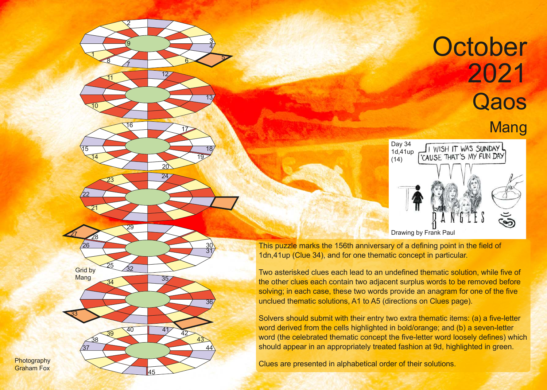## **October** 2021 **Qaos** Mang



This puzzle marks the 156th anniversary of a defining point in the field of 1dn,41up (Clue 34), and for one thematic concept in particular.

Two asterisked clues each lead to an undefined thematic solution, while five of the other clues each contain two adjacent surplus words to be removed before solving; in each case, these two words provide an anagram for one of the five unclued thematic solutions, A1 to A5 (directions on Clues page).

Solvers should submit with their entry two extra thematic items: (a) a five-letter word derived from the cells highlighted in bold/orange; and (b) a seven-letter word (the celebrated thematic concept the five-letter word loosely defines) which should appear in an appropriately treated fashion at 9d, highlighted in green.

Clues are presented in alphabetical order of their solutions.

**Photography** Graham Fox

**Grid by** Mang

> $37$  $\frac{38}{2}$

33

25

26

<sup>27</sup> <sup>28</sup>

 $\mathfrak{1}$ 

 $\overline{10}$ 

14

21

22

2

9

7

<sup>11</sup> <sup>12</sup>

8 6

15 18

<sup>23</sup> <sup>24</sup>

29

 $\overline{32}$ 

40

<sup>39</sup> <sup>41</sup> <sup>42</sup>

45

<sup>34</sup> <sup>35</sup>

<sup>16</sup> <sup>17</sup>

<u>20</u>

<u>3</u> 4

13

19

30 31

36

44

43

5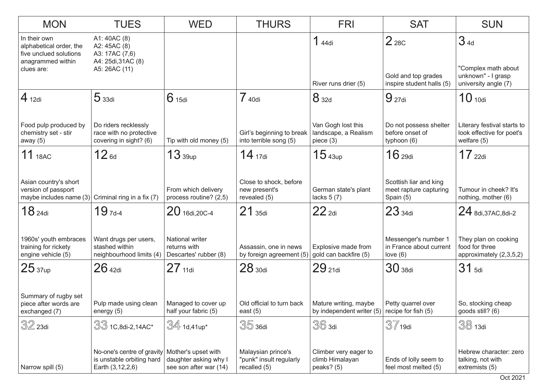| <b>MON</b>                                                                                           | <b>TUES</b>                                                                           | <b>WED</b>                                                             | <b>THURS</b>                                                  | <b>FRI</b>                                                | <b>SAT</b>                                                           | <b>SUN</b>                                                                |
|------------------------------------------------------------------------------------------------------|---------------------------------------------------------------------------------------|------------------------------------------------------------------------|---------------------------------------------------------------|-----------------------------------------------------------|----------------------------------------------------------------------|---------------------------------------------------------------------------|
| In their own<br>alphabetical order, the<br>five unclued solutions<br>anagrammed within<br>clues are: | A1: 40AC (8)<br>A2: 45AC (8)<br>A3: 17AC (7,6)<br>A4: 25di, 31AC (8)<br>A5: 26AC (11) |                                                                        |                                                               | 144di<br>River runs drier (5)                             | 2 <sub>28C</sub><br>Gold and top grades<br>inspire student halls (5) | 34d<br>"Complex math about<br>unknown" - I grasp<br>university angle (7)  |
| $4_{12di}$                                                                                           | 5 <sub>33di</sub>                                                                     | 6 <sub>15di</sub>                                                      | 7 40di                                                        | 8 32d                                                     | 9 <sub>27di</sub>                                                    | 10 <sub>10di</sub>                                                        |
|                                                                                                      |                                                                                       |                                                                        |                                                               |                                                           |                                                                      |                                                                           |
| Food pulp produced by<br>chemistry set - stir<br>away $(5)$                                          | Do riders recklessly<br>race with no protective<br>covering in sight? (6)             | Tip with old money (5)                                                 | Girl's beginning to break<br>into terrible song (5)           | Van Gogh lost this<br>landscape, a Realism<br>piece $(3)$ | Do not possess shelter<br>before onset of<br>typhoon (6)             | Literary festival starts to<br>look effective for poet's<br>welfare $(5)$ |
| 11 18AC                                                                                              | $12_{6d}$                                                                             | $13$ $_{39up}$                                                         | $14_{17di}$                                                   | 15 <sub>43up</sub>                                        | 16 <sub>29di</sub>                                                   | $17$ 22di                                                                 |
| Asian country's short<br>version of passport<br>maybe includes name $(3)$                            | Criminal ring in a fix (7)                                                            | From which delivery<br>process routine? (2,5)                          | Close to shock, before<br>new present's<br>revealed (5)       | German state's plant<br>lacks $5(7)$                      | Scottish liar and king<br>meet rapture capturing<br>Spain (5)        | Tumour in cheek? It's<br>nothing, mother (6)                              |
| 18 <sub>24di</sub>                                                                                   | $19$ <sub>7d-4</sub>                                                                  | 20 16di, 20C-4                                                         | $21$ 35di                                                     | $22$ <sub>2di</sub>                                       | 23 <sub>34di</sub>                                                   | $24$ 8di, 37AC, 8di-2                                                     |
| 1960s' youth embraces<br>training for rickety<br>engine vehicle (5)                                  | Want drugs per users,<br>stashed within<br>neighbourhood limits (4)                   | National writer<br>returns with<br>Descartes' rubber (8)               | Assassin, one in news<br>by foreign agreement (5)             | Explosive made from<br>gold can backfire (5)              | Messenger's number 1<br>in France about current<br>love $(6)$        | They plan on cooking<br>food for three<br>approximately (2,3,5,2)         |
| 25 <sub>37up</sub>                                                                                   | $26$ 42di                                                                             | $27$ 11di                                                              | 28 <sub>30di</sub>                                            | 29 <sub>21di</sub>                                        | 30 <sub>38di</sub>                                                   | $31$ 5di                                                                  |
| Summary of rugby set<br>piece after words are<br>exchanged (7)                                       | Pulp made using clean<br>energy (5)                                                   | Managed to cover up<br>half your fabric (5)                            | Old official to turn back<br>east $(5)$                       | Mature writing, maybe<br>by independent writer (5)        | Petty quarrel over<br>recipe for fish (5)                            | So, stocking cheap<br>goods still? (6)                                    |
| $32$ 23di                                                                                            | $33$ 1C,8di-2,14AC*                                                                   | $\mathbb{S}4$ 1d,41up*                                                 | $35$ 36di                                                     | $36$ 3di                                                  | $37$ 19di                                                            | 38 13di                                                                   |
| Narrow spill (5)                                                                                     | No-one's centre of gravity<br>is unstable orbiting hard<br>Earth (3,12,2,6)           | Mother's upset with<br>daughter asking why I<br>see son after war (14) | Malaysian prince's<br>"punk" insult regularly<br>recalled (5) | Climber very eager to<br>climb Himalayan<br>peaks? (5)    | Ends of lolly seem to<br>feel most melted (5)                        | Hebrew character: zero<br>talking, not with<br>extremists (5)             |